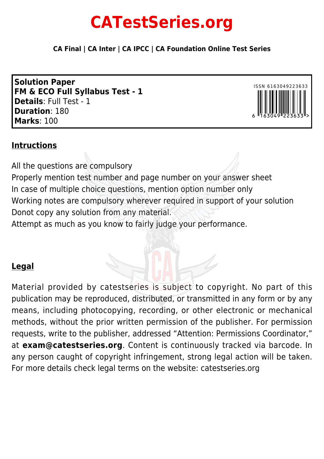# **CATestSeries.org**

**CA Final | CA Inter | CA IPCC | CA Foundation Online Test Series**

**Solution Paper FM & ECO Full Syllabus Test - 1 Details**: Full Test - 1 **Duration**: 180 **Marks**: 100



#### **Intructions**

All the questions are compulsory Properly mention test number and page number on your answer sheet In case of multiple choice questions, mention option number only Working notes are compulsory wherever required in support of your solution Donot copy any solution from any material. Attempt as much as you know to fairly judge your performance.

### **Legal**

Material provided by catestseries is subject to copyright. No part of this publication may be reproduced, distributed, or transmitted in any form or by any means, including photocopying, recording, or other electronic or mechanical methods, without the prior written permission of the publisher. For permission requests, write to the publisher, addressed "Attention: Permissions Coordinator," at **exam@catestseries.org**. Content is continuously tracked via barcode. In any person caught of copyright infringement, strong legal action will be taken. For more details check legal terms on the website: catestseries.org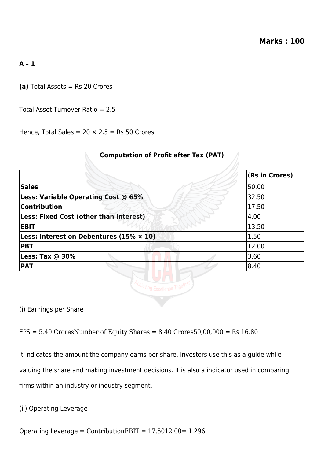#### **A – 1**

**(a)** Total Assets = Rs 20 Crores

Total Asset Turnover Ratio = 2.5

Hence, Total Sales =  $20 \times 2.5$  = Rs 50 Crores

 $\mathbb{Z}$ 

|                                                                  | <b>(Rs in Crores)</b> |
|------------------------------------------------------------------|-----------------------|
| <b>Sales</b>                                                     | 50.00                 |
| Less: Variable Operating Cost @ 65%                              | 32.50                 |
| Contribution                                                     | 17.50                 |
| Less: Fixed Cost (other than Interest)                           | 4.00                  |
| <b>EBIT</b>                                                      | 13.50                 |
| <b>Less: Interest on Debentures (15% <math>\times</math> 10)</b> | 1.50                  |
| <b>PBT</b>                                                       | 12.00                 |
| Less: Tax $@$ 30%                                                | 3.60                  |
| <b>PAT</b>                                                       | 8.40                  |

**Computation of Profit after Tax (PAT)**

(i) Earnings per Share

 $EPS = 5.40$  CroresNumber of Equity Shares = 8.40 Crores50,00,000 = Rs 16.80

It indicates the amount the company earns per share. Investors use this as a guide while valuing the share and making investment decisions. It is also a indicator used in comparing firms within an industry or industry segment.

(ii) Operating Leverage

Operating Leverage = ContributionEBIT = 17.5012.00= 1.296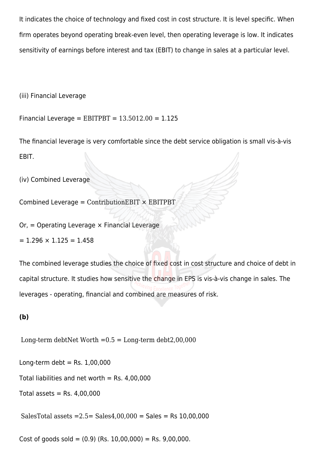It indicates the choice of technology and fixed cost in cost structure. It is level specific. When firm operates beyond operating break-even level, then operating leverage is low. It indicates sensitivity of earnings before interest and tax (EBIT) to change in sales at a particular level.

(iii) Financial Leverage

Financial Leverage =  $EBITPBT = 13.5012.00 = 1.125$ 

The financial leverage is very comfortable since the debt service obligation is small vis-à-vis EBIT.

(iv) Combined Leverage

Combined Leverage =  $ContributionEBIT \times EBITPBT$ 

 $Or = Operating Leverage \times Financial Leverage$ 

 $= 1.296 \times 1.125 = 1.458$ 

The combined leverage studies the choice of fixed cost in cost structure and choice of debt in capital structure. It studies how sensitive the change in EPS is vis-à-vis change in sales. The leverages - operating, financial and combined are measures of risk.

#### **(b)**

Long-term debtNet Worth  $=0.5$  = Long-term debt2,00,000

Long-term debt = Rs.  $1,00,000$ 

Total liabilities and net worth = Rs.  $4,00,000$ 

Total assets =  $Rs. 4,00,000$ 

SalesTotal assets  $=2.5=$  Sales $4,00,000 =$  Sales  $=$  Rs 10,00,000

Cost of goods sold =  $(0.9)$  (Rs. 10,00,000) = Rs. 9,00,000.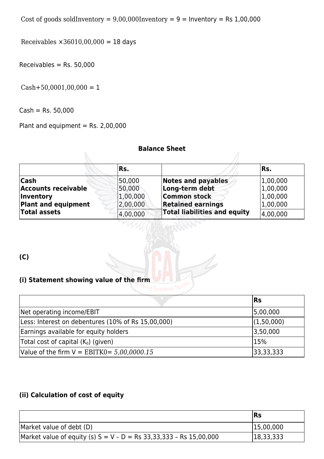Cost of goods soldInventory =  $9,00,000$ Inventory =  $9$  = Inventory = Rs 1,00,000

Receivables  $\times 36010,00,000 = 18$  days

 $Receivables = Rs. 50,000$ 

 $Cash+50,0001,00,000 = 1$ 

 $Cash = Rs. 50,000$ 

Plant and equipment = Rs.  $2,00,000$ 

#### **Balance Sheet**

|                            | Rs.      |                                     | IRs.     |
|----------------------------|----------|-------------------------------------|----------|
| <b>Cash</b>                | 50,000   | <b>Notes and payables</b>           | 1,00,000 |
| <b>Accounts receivable</b> | 50,000   | Long-term debt                      | 1,00,000 |
| <i><b>Inventory</b></i>    | 1,00,000 | <b>Common stock</b>                 | 1,00,000 |
| <b>Plant and equipment</b> | 2,00,000 | <b>Retained earnings</b>            | 1,00,000 |
| <b>Total assets</b>        | 4,00,000 | <b>Total liabilities and equity</b> | 4,00,000 |

**(C)**

#### **(i) Statement showing value of the firm**

|                                                    | <b>Rs</b>  |
|----------------------------------------------------|------------|
| Net operating income/EBIT                          | 5,00,000   |
| Less: Interest on debentures (10% of Rs 15,00,000) | (1,50,000) |
| Earnings available for equity holders              | 3,50,000   |
| Total cost of capital $(K_0)$ (given)              | 15%        |
| Value of the firm $V = EBITK0 = 5,00,0000.15$      | 33,33,333  |

#### **(ii) Calculation of cost of equity**

|                                                                      | <b>IRs</b> |
|----------------------------------------------------------------------|------------|
| Market value of debt (D)                                             | 15,00,000  |
| Market value of equity (s) $S = V - D = Rs 33,33,333 - Rs 15,00,000$ | 18,33,333  |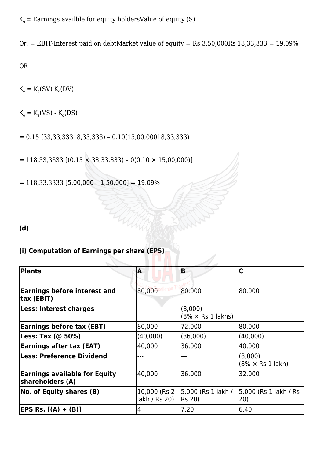$K_e$  = Earnings availble for equity holders Value of equity (S)

Or, = EBIT-Interest paid on debtMarket value of equity = Rs  $3,50,000Rs$  18,33,333 = 19.09%

OR

 $K_{o} = K_{e}(SV) K_{d}(DV)$ 

 $K_{o} = K_{e}(VS) - K_{d}(DS)$ 

 $= 0.15 (33,33,33318,33,333) - 0.10(15,00,00018,33,333)$ 

 $= 118,33,3333$  [(0.15  $\times$  33,33,333) – 0(0.10  $\times$  15,00,000)]

HA

 $= 118,33,3333$  [5,00,000 - 1,50,000] = 19.09%

**(d)**

#### **(i) Computation of Earnings per share (EPS)**

| Plants                                                   | A                              | B                                    | C                                   |
|----------------------------------------------------------|--------------------------------|--------------------------------------|-------------------------------------|
|                                                          |                                |                                      |                                     |
| <b>Earnings before interest and</b><br>tax (EBIT)        | 80,000                         | 80,000                               | 80,000                              |
| <b>Less: Interest charges</b>                            |                                | (8,000)<br>$(8\% \times$ Rs 1 lakhs) |                                     |
| <b>Earnings before tax (EBT)</b>                         | 80,000                         | 72,000                               | 80,000                              |
| Less: Tax $(\textcircled{a} 50\%)$                       | (40,000)                       | (36,000)                             | (40,000)                            |
| <b>Earnings after tax (EAT)</b>                          | 40,000                         | 36,000                               | 40,000                              |
| <b>Less: Preference Dividend</b>                         |                                |                                      | (8,000)<br>$(8\% \times$ Rs 1 lakh) |
| <b>Earnings available for Equity</b><br>shareholders (A) | 40,000                         | 36,000                               | 32,000                              |
| No. of Equity shares (B)                                 | 10,000 (Rs 2)<br>lakh / Rs 20) | 5,000 (Rs 1 lakh /<br><b>Rs 20)</b>  | 5,000 (Rs 1 lakh / Rs<br>(20)       |
| EPS Rs. [(A) ÷ (B)]                                      | 4                              | 7.20                                 | 6.40                                |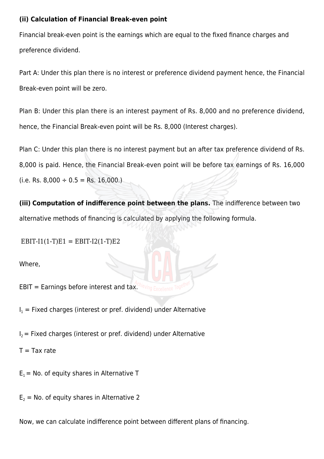#### **(ii) Calculation of Financial Break-even point**

Financial break-even point is the earnings which are equal to the fixed finance charges and preference dividend.

Part A: Under this plan there is no interest or preference dividend payment hence, the Financial Break-even point will be zero.

Plan B: Under this plan there is an interest payment of Rs. 8,000 and no preference dividend, hence, the Financial Break-even point will be Rs. 8,000 (Interest charges).

Plan C: Under this plan there is no interest payment but an after tax preference dividend of Rs. 8,000 is paid. Hence, the Financial Break-even point will be before tax earnings of Rs. 16,000  $(i.e.$  Rs. 8,000  $\div$  0.5 = Rs. 16,000.)

**(iii) Computation of indifference point between the plans.** The indifference between two alternative methods of financing is calculated by applying the following formula.

 $EBIT-I1(1-T)E1 = EBIT-I2(1-T)E2$ 

Where,

EBIT = Earnings before interest and tax.

 $I_1$  = Fixed charges (interest or pref. dividend) under Alternative

 $I_2$  = Fixed charges (interest or pref. dividend) under Alternative

 $T = Tax rate$ 

 $E_1$  = No. of equity shares in Alternative T

 $E_2$  = No. of equity shares in Alternative 2

Now, we can calculate indifference point between different plans of financing.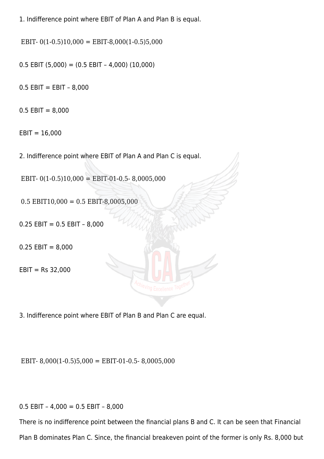1. Indifference point where EBIT of Plan A and Plan B is equal.

EBIT-  $0(1-0.5)10,000 =$  EBIT-8,000(1-0.5)5,000

 $0.5$  EBIT  $(5,000) = (0.5$  EBIT  $- 4,000)$   $(10,000)$ 

 $0.5$  EBIT = EBIT - 8,000

 $0.5$  EBIT = 8,000

 $EBIT = 16,000$ 

2. Indifference point where EBIT of Plan A and Plan C is equal.

EBIT-  $0(1-0.5)10,000 =$  EBIT-01-0.5- 8,0005,000

 $0.5$  EBIT10,000 = 0.5 EBIT-8,0005,000

 $0.25$  EBIT =  $0.5$  EBIT - 8,000

 $0.25$  EBIT = 8,000

 $EBIT = Rs 32,000$ 

3. Indifference point where EBIT of Plan B and Plan C are equal.

EBIT- 8,000(1-0.5)5,000 = EBIT-01-0.5- 8,0005,000

0.5 EBIT – 4,000 = 0.5 EBIT – 8,000

There is no indifference point between the financial plans B and C. It can be seen that Financial Plan B dominates Plan C. Since, the financial breakeven point of the former is only Rs. 8,000 but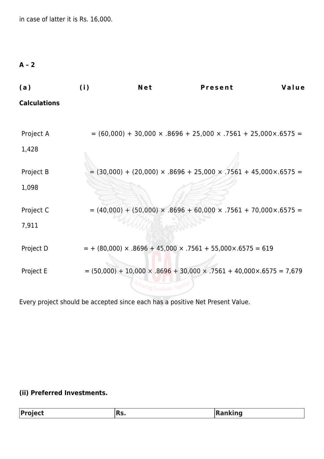in case of latter it is Rs. 16,000.

#### **A – 2**

| (a)                 | (i) | Net | <b>Present</b>                                                                            | Value |
|---------------------|-----|-----|-------------------------------------------------------------------------------------------|-------|
| <b>Calculations</b> |     |     |                                                                                           |       |
|                     |     |     |                                                                                           |       |
| Project A           |     |     | $= (60,000) + 30,000 \times .8696 + 25,000 \times .7561 + 25,000 \times .6575 =$          |       |
| 1,428               |     |     |                                                                                           |       |
| Project B           |     |     | $=$ (30,000) + (20,000) × .8696 + 25,000 × .7561 + 45,000 × .6575 =                       |       |
| 1,098               |     |     |                                                                                           |       |
| Project C           |     |     | $= (40,000) + (50,000) \times .8696 + 60,000 \times .7561 + 70,000 \times .6575 =$        |       |
| 7,911               |     |     |                                                                                           |       |
| Project D           |     |     | $= + (80,000) \times .8696 + 45,000 \times .7561 + 55,000 \times .6575 = 619$             |       |
| Project E           |     |     | $= (50,000) + 10,000 \times 0.8696 + 30,000 \times 0.7561 + 40,000 \times 0.6575 = 7,679$ |       |
|                     |     |     |                                                                                           |       |

Every project should be accepted since each has a positive Net Present Value.

#### **(ii) Preferred Investments.**

| Project | IRS. | <b>Ranking</b> |
|---------|------|----------------|
|         |      |                |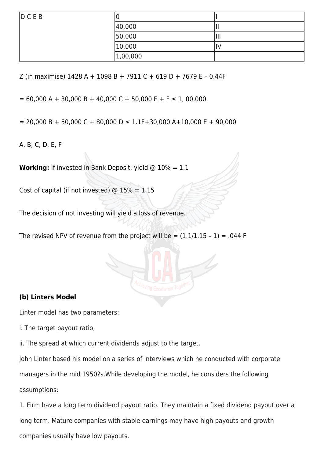| DCEB | ັ        |      |
|------|----------|------|
|      | 40,000   | -11  |
|      | 50,000   | lIII |
|      | 10,000   |      |
|      | 1,00,000 |      |

Z (in maximise) 1428 A + 1098 B + 7911 C + 619 D + 7679 E – 0.44F

 $= 60,000 A + 30,000 B + 40,000 C + 50,000 E + F \le 1,00,000$ 

 $= 20,000 B + 50,000 C + 80,000 D \le 1.1F + 30,000 A + 10,000 E + 90,000$ 

A, B, C, D, E, F

**Working:** If invested in Bank Deposit, yield @ 10% = 1.1

Cost of capital (if not invested)  $@ 15\% = 1.15$ 

The decision of not investing will yield a loss of revenue.

The revised NPV of revenue from the project will be  $= (1.1/1.15 - 1) = .044$  F

#### **(b) Linters Model**

Linter model has two parameters:

i. The target payout ratio,

ii. The spread at which current dividends adjust to the target.

John Linter based his model on a series of interviews which he conducted with corporate

managers in the mid 1950?s.While developing the model, he considers the following assumptions:

1. Firm have a long term dividend payout ratio. They maintain a fixed dividend payout over a long term. Mature companies with stable earnings may have high payouts and growth companies usually have low payouts.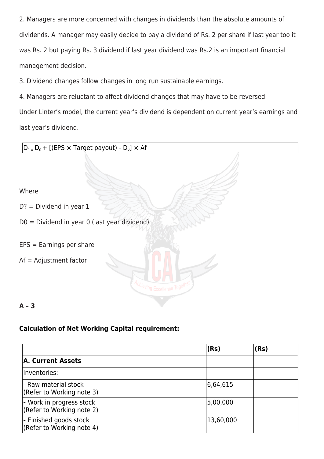2. Managers are more concerned with changes in dividends than the absolute amounts of dividends. A manager may easily decide to pay a dividend of Rs. 2 per share if last year too it was Rs. 2 but paying Rs. 3 dividend if last year dividend was Rs.2 is an important financial management decision.

3. Dividend changes follow changes in long run sustainable earnings.

4. Managers are reluctant to affect dividend changes that may have to be reversed.

Under Linter's model, the current year's dividend is dependent on current year's earnings and last year's dividend.

| $ D_{1}$ <sub>=</sub> $D_{0}$ + [(EPS × Target payout) - $D_{0}$ ] × Af |
|-------------------------------------------------------------------------|
|                                                                         |
| Where                                                                   |
| $D? = Dividend$ in year 1                                               |
| D0 = Dividend in year 0 (last year dividend)                            |
| $EPS = Earnings$ per share                                              |
| $Af = Adjustment factor$                                                |
|                                                                         |

## **Calculation of Net Working Capital requirement:**

**A – 3**

|                                                       | (Rs)      | (Rs) |
|-------------------------------------------------------|-----------|------|
| A. Current Assets                                     |           |      |
| Inventories:                                          |           |      |
| - Raw material stock<br>(Refer to Working note 3)     | 6,64,615  |      |
| - Work in progress stock<br>(Refer to Working note 2) | 5,00,000  |      |
| - Finished goods stock<br>(Refer to Working note 4)   | 13,60,000 |      |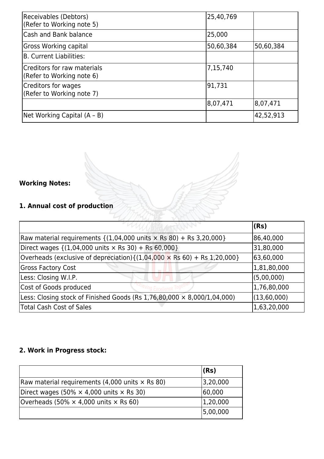| Receivables (Debtors)<br>(Refer to Working note 5)       | 25,40,769 |           |
|----------------------------------------------------------|-----------|-----------|
| Cash and Bank balance                                    | 25,000    |           |
| Gross Working capital                                    | 50,60,384 | 50,60,384 |
| B. Current Liabilities:                                  |           |           |
| Creditors for raw materials<br>(Refer to Working note 6) | 7,15,740  |           |
| Creditors for wages<br>(Refer to Working note 7)         | 91,731    |           |
|                                                          | 8,07,471  | 8,07,471  |
| Net Working Capital (A - B)                              |           | 42,52,913 |

### **Working Notes:**

### **1. Annual cost of production**

|                                                                                                     | (Rs)        |
|-----------------------------------------------------------------------------------------------------|-------------|
| Raw material requirements $\{(1,04,000 \text{ units} \times \text{Rs } 80) + \text{Rs } 3,20,000\}$ | 86,40,000   |
| Direct wages $\{(1,04,000 \text{ units} \times \text{Rs } 30) + \text{Rs } 60,000\}$                | 31,80,000   |
| Overheads (exclusive of depreciation) $\{(1,04,000 \times \text{Rs } 60) + \text{Rs } 1,20,000\}$   | 63,60,000   |
| <b>Gross Factory Cost</b>                                                                           | 1,81,80,000 |
| Less: Closing W.I.P.                                                                                | (5,00,000)  |
| Cost of Goods produced                                                                              | 1,76,80,000 |
| Less: Closing stock of Finished Goods (Rs $1,76,80,000 \times 8,000/1,04,000$ )                     | (13,60,000) |
| <b>Total Cash Cost of Sales</b>                                                                     | 1,63,20,000 |

### **2. Work in Progress stock:**

|                                                        | $ $ (Rs) |
|--------------------------------------------------------|----------|
| Raw material requirements (4,000 units $\times$ Rs 80) | 3,20,000 |
| Direct wages (50% $\times$ 4,000 units $\times$ Rs 30) | 60,000   |
| Overheads (50% $\times$ 4,000 units $\times$ Rs 60)    | 1,20,000 |
|                                                        | 5,00,000 |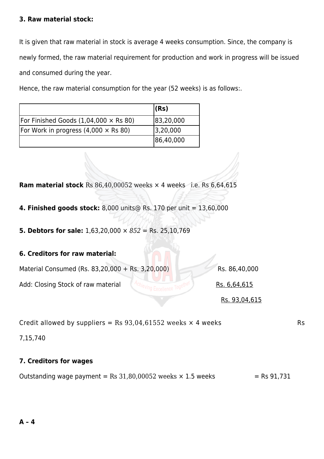#### **3. Raw material stock:**

It is given that raw material in stock is average 4 weeks consumption. Since, the company is newly formed, the raw material requirement for production and work in progress will be issued and consumed during the year.

Hence, the raw material consumption for the year (52 weeks) is as follows:.

|                                              | (Rs)      |
|----------------------------------------------|-----------|
| For Finished Goods $(1,04,000 \times$ Rs 80) | 83,20,000 |
| For Work in progress $(4,000 \times$ Rs 80)  | 3,20,000  |
|                                              | 86,40,000 |

**Ram material stock** Rs 86,40,00052 weeks  $\times$  4 weeks i.e. Rs 6,64,615

- **4. Finished goods stock:** 8,000 units@ Rs. 170 per unit = 13,60,000
- **5. Debtors for sale:** 1,63,20,000 × *852* = Rs. 25,10,769

| 6. Creditors for raw material:                   |               |
|--------------------------------------------------|---------------|
| Material Consumed (Rs. 83,20,000 + Rs. 3,20,000) | Rs. 86,40,000 |
| Add: Closing Stock of raw material               | Rs. 6,64,615  |
|                                                  | Rs. 93,04,615 |

Credit allowed by suppliers = Rs  $93,04,61552$  weeks  $\times$  4 weeks

7,15,740

#### **7. Creditors for wages**

Outstanding wage payment = Rs  $31,80,00052$  weeks  $\times$  1.5 weeks = Rs 91,731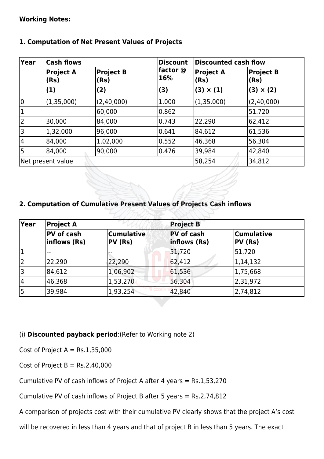#### **Working Notes:**

| 1. Computation of Net Present Values of Projects |                          |                 |                          |                             |                  |
|--------------------------------------------------|--------------------------|-----------------|--------------------------|-----------------------------|------------------|
| Year                                             | <b>Cash flows</b>        |                 | <b>Discount</b>          | <b>Discounted cash flow</b> |                  |
| <b>Project A</b><br>(Rs)                         | <b>Project B</b><br>(Rs) | factor @<br>16% | <b>Project A</b><br>(Rs) | <b>Project B</b><br>(Rs)    |                  |
|                                                  | (1)                      | (2)             | (3)                      | $(3) \times (1)$            | $(3) \times (2)$ |
| 0                                                | (1,35,000)               | (2,40,000)      | 1.000                    | (1,35,000)                  | (2,40,000)       |
| $\mathbf 1$                                      |                          | 60,000          | 0.862                    |                             | 51.720           |
| $\overline{2}$                                   | 30,000                   | 84,000          | 0.743                    | 22,290                      | 62,412           |
| 3                                                | 1,32,000                 | 96,000          | 0.641                    | 84,612                      | 61,536           |
| 4                                                | 84,000                   | 1,02,000        | 0.552                    | 46,368                      | 56,304           |
| 5                                                | 84,000                   | 90,000          | 0.476                    | 39,984                      | 42,840           |

Net present value 58,254 34,812

#### **1. Computation of Net Present Values of Projects**

#### **2. Computation of Cumulative Present Values of Projects Cash inflows**

| $ {\sf Year}$<br><b>Project A</b> |                            |                                | <b>Project B</b>                  |                              |
|-----------------------------------|----------------------------|--------------------------------|-----------------------------------|------------------------------|
|                                   | PV of cash<br>inflows (Rs) | <b>Cumulative</b><br>$PV$ (Rs) | <b>PV</b> of cash<br>inflows (Rs) | <b>Cumulative</b><br>PV (Rs) |
|                                   | $- -$                      |                                | 51,720                            | 51,720                       |
| 2                                 | 22,290                     | 22,290                         | 62,412                            | 1, 14, 132                   |
| 13                                | 84,612                     | 1,06,902                       | 61,536                            | 1,75,668                     |
| 4                                 | 46,368                     | 1,53,270                       | 56,304                            | 2,31,972                     |
| 5                                 | 39,984                     | 1,93,254                       | 42,840                            | 2,74,812                     |

#### (i) **Discounted payback period**:(Refer to Working note 2)

Cost of Project  $A = Rs.1,35,000$ 

Cost of Project  $B = Rs.2,40,000$ 

Cumulative PV of cash inflows of Project A after 4 years = Rs.1,53,270

Cumulative PV of cash inflows of Project B after 5 years = Rs.2,74,812

A comparison of projects cost with their cumulative PV clearly shows that the project A's cost

will be recovered in less than 4 years and that of project B in less than 5 years. The exact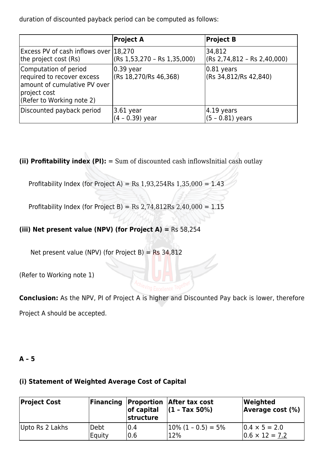duration of discounted payback period can be computed as follows:

|                                                                                                                                  | <b>Project A</b>                   | <b>Project B</b>                         |
|----------------------------------------------------------------------------------------------------------------------------------|------------------------------------|------------------------------------------|
| Excess PV of cash inflows over 18,270<br>the project cost (Rs)                                                                   | (Rs 1,53,270 - Rs 1,35,000)        | 34,812<br>$($ Rs 2,74,812 - Rs 2,40,000) |
| Computation of period<br>required to recover excess<br>amount of cumulative PV over<br>project cost<br>(Refer to Working note 2) | 0.39 year<br>(Rs 18,270/Rs 46,368) | $ 0.81$ years<br>(Rs 34,812/Rs 42,840)   |
| Discounted payback period                                                                                                        | 3.61 year<br>$(4 - 0.39)$ year     | $ 4.19$ years<br>$(5 - 0.81)$ years      |

**(ii) Profitability index (PI):** = Sum of discounted cash inflowsInitial cash outlay

Profitability Index (for Project A) = Rs  $1,93,254$ Rs  $1,35,000 = 1.43$ 

Profitability Index (for Project B) = Rs  $2,74,812$ Rs  $2,40,000 = 1.15$ 

#### **(iii) Net present value (NPV) (for Project A) =** Rs 58,254

Net present value (NPV) (for Project B) =  $Rs$  34,812

(Refer to Working note 1)

**Conclusion:** As the NPV, PI of Project A is higher and Discounted Pay back is lower, therefore

Project A should be accepted.

#### **A – 5**

#### **(i) Statement of Weighted Average Cost of Capital**

| <b>Project Cost</b> |        | $ $ of capital<br>structure | <b>Financing Proportion After tax cost</b><br>$(1 - Tax 50%)$ | Weighted<br><b>Average cost (%)</b> |
|---------------------|--------|-----------------------------|---------------------------------------------------------------|-------------------------------------|
| Upto Rs 2 Lakhs     | Debt   | 0.4                         | $ 10\% (1 - 0.5)  = 5\%$                                      | $10.4 \times 5 = 2.0$               |
|                     | Equity | 0.6                         | 12%                                                           | $ 0.6 \times 12 = 7.2 $             |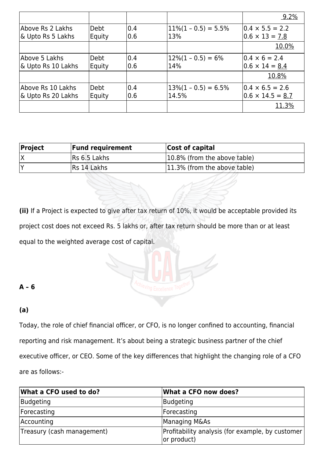|                                         |                |             |                                  | 9.2%                                              |
|-----------------------------------------|----------------|-------------|----------------------------------|---------------------------------------------------|
| Above Rs 2 Lakhs<br>& Upto Rs 5 Lakhs   | Debt<br>Equity | 0.4<br> 0.6 | $11\% (1 - 0.5) = 5.5\%$<br>13%  | $0.4 \times 5.5 = 2.2$<br>$0.6 \times 13 = 7.8$   |
|                                         |                |             |                                  | 10.0%                                             |
| Above 5 Lakhs<br>& Upto Rs 10 Lakhs     | Debt<br>Equity | 0.4<br> 0.6 | $12\%(1 - 0.5) = 6\%$<br>14%     | $10.4 \times 6 = 2.4$<br>$0.6 \times 14 = 8.4$    |
|                                         |                |             |                                  | 10.8%                                             |
| Above Rs 10 Lakhs<br>& Upto Rs 20 Lakhs | Debt<br>Equity | 0.4<br> 0.6 | $13\%(1 - 0.5) = 6.5\%$<br>14.5% | $0.4 \times 6.5 = 2.6$<br>$0.6 \times 14.5 = 8.7$ |
|                                         |                |             |                                  | <u>11.3%</u>                                      |

| <b>Project</b> | <b>Fund requirement</b> | <b>Cost of capital</b>       |
|----------------|-------------------------|------------------------------|
|                | <b>Rs 6.5 Lakhs</b>     | 10.8% (from the above table) |
|                | Rs 14 Lakhs             | 11.3% (from the above table) |

**(ii)** If a Project is expected to give after tax return of 10%, it would be acceptable provided its project cost does not exceed Rs. 5 lakhs or, after tax return should be more than or at least equal to the weighted average cost of capital.

**A – 6**

#### **(a)**

Today, the role of chief financial officer, or CFO, is no longer confined to accounting, financial reporting and risk management. It's about being a strategic business partner of the chief executive officer, or CEO. Some of the key differences that highlight the changing role of a CFO are as follows:-

| What a CFO used to do?     | What a CFO now does?                                            |
|----------------------------|-----------------------------------------------------------------|
| Budgeting                  | Budgeting                                                       |
| Forecasting                | Forecasting                                                     |
| Accounting                 | Managing M&As                                                   |
| Treasury (cash management) | Profitability analysis (for example, by customer<br>or product) |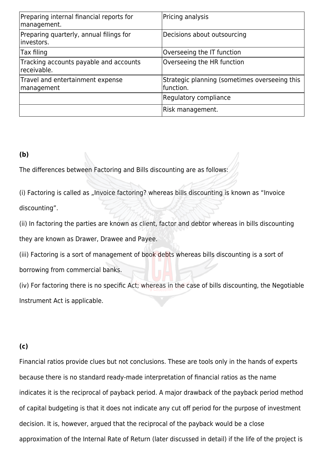| Preparing internal financial reports for<br>management. | Pricing analysis                                           |
|---------------------------------------------------------|------------------------------------------------------------|
| Preparing quarterly, annual filings for<br>linvestors.  | Decisions about outsourcing                                |
| Tax filing                                              | Overseeing the IT function                                 |
| Tracking accounts payable and accounts<br>receivable.   | Overseeing the HR function                                 |
| Travel and entertainment expense<br>management          | Strategic planning (sometimes overseeing this<br>function. |
|                                                         | Regulatory compliance                                      |
|                                                         | Risk management.                                           |

#### **(b)**

The differences between Factoring and Bills discounting are as follows:

(i) Factoring is called as "Invoice factoring? whereas bills discounting is known as "Invoice discounting".

(ii) In factoring the parties are known as client, factor and debtor whereas in bills discounting they are known as Drawer, Drawee and Payee.

(iii) Factoring is a sort of management of book debts whereas bills discounting is a sort of

borrowing from commercial banks.

(iv) For factoring there is no specific Act; whereas in the case of bills discounting, the Negotiable Instrument Act is applicable.

#### **(c)**

Financial ratios provide clues but not conclusions. These are tools only in the hands of experts because there is no standard ready-made interpretation of financial ratios as the name indicates it is the reciprocal of payback period. A major drawback of the payback period method of capital budgeting is that it does not indicate any cut off period for the purpose of investment decision. It is, however, argued that the reciprocal of the payback would be a close approximation of the Internal Rate of Return (later discussed in detail) if the life of the project is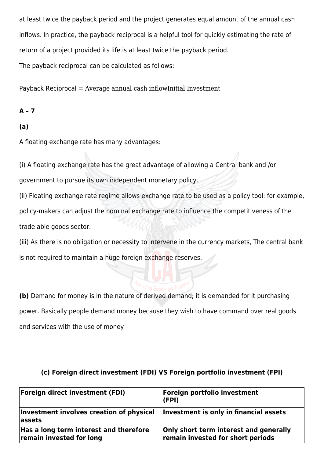at least twice the payback period and the project generates equal amount of the annual cash inflows. In practice, the payback reciprocal is a helpful tool for quickly estimating the rate of return of a project provided its life is at least twice the payback period. The payback reciprocal can be calculated as follows:

Payback Reciprocal = Average annual cash inflowInitial Investment

#### **A – 7**

#### **(a)**

A floating exchange rate has many advantages:

(i) A floating exchange rate has the great advantage of allowing a Central bank and /or

government to pursue its own independent monetary policy.

(ii) Floating exchange rate regime allows exchange rate to be used as a policy tool: for example, policy-makers can adjust the nominal exchange rate to influence the competitiveness of the trade able goods sector.

(iii) As there is no obligation or necessity to intervene in the currency markets, The central bank is not required to maintain a huge foreign exchange reserves.

**(b)** Demand for money is in the nature of derived demand; it is demanded for it purchasing power. Basically people demand money because they wish to have command over real goods and services with the use of money

| <b>Foreign direct investment (FDI)</b>                             | Foreign portfolio investment<br>(FPI)                                              |
|--------------------------------------------------------------------|------------------------------------------------------------------------------------|
| Investment involves creation of physical<br>assets                 | Investment is only in financial assets                                             |
| Has a long term interest and therefore<br>remain invested for long | <b>Only short term interest and generally</b><br>remain invested for short periods |

#### **(c) Foreign direct investment (FDI) VS Foreign portfolio investment (FPI)**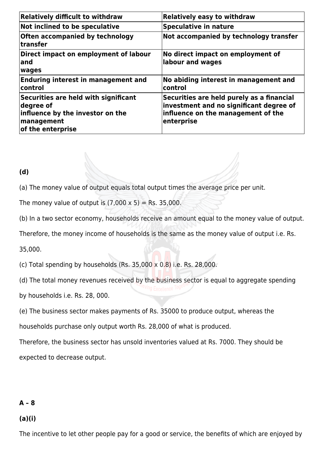| <b>Relatively difficult to withdraw</b>                                                                                         | <b>Relatively easy to withdraw</b>                                                                                                       |
|---------------------------------------------------------------------------------------------------------------------------------|------------------------------------------------------------------------------------------------------------------------------------------|
| Not inclined to be speculative                                                                                                  | <b>Speculative in nature</b>                                                                                                             |
| Often accompanied by technology<br>$\sf{transfer}$                                                                              | Not accompanied by technology transfer                                                                                                   |
| Direct impact on employment of labour<br>land<br>wages                                                                          | No direct impact on employment of<br>labour and wages                                                                                    |
| <b>Enduring interest in management and</b><br> control                                                                          | No abiding interest in management and<br>control                                                                                         |
| Securities are held with significant<br>degree of<br>influence by the investor on the<br><b>management</b><br>of the enterprise | Securities are held purely as a financial<br>investment and no significant degree of<br>influence on the management of the<br>enterprise |

#### **(d)**

(a) The money value of output equals total output times the average price per unit.

The money value of output is  $(7,000 \times 5) =$  Rs. 35,000.

(b) In a two sector economy, households receive an amount equal to the money value of output.

Therefore, the money income of households is the same as the money value of output i.e. Rs.

35,000.

(c) Total spending by households (Rs.  $35,000 \times 0.8$ ) i.e. Rs. 28,000.

(d) The total money revenues received by the business sector is equal to aggregate spending

by households i.e. Rs. 28, 000.

(e) The business sector makes payments of Rs. 35000 to produce output, whereas the

households purchase only output worth Rs. 28,000 of what is produced.

Therefore, the business sector has unsold inventories valued at Rs. 7000. They should be expected to decrease output.

#### **A – 8**

#### **(a)(i)**

The incentive to let other people pay for a good or service, the benefits of which are enjoyed by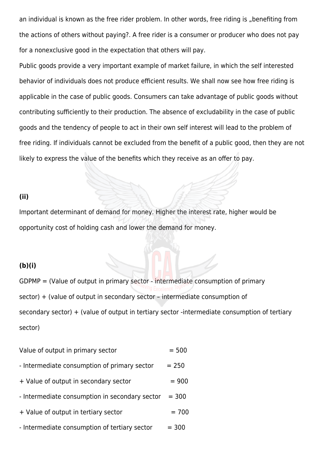an individual is known as the free rider problem. In other words, free riding is "benefiting from the actions of others without paying?. A free rider is a consumer or producer who does not pay for a nonexclusive good in the expectation that others will pay.

Public goods provide a very important example of market failure, in which the self interested behavior of individuals does not produce efficient results. We shall now see how free riding is applicable in the case of public goods. Consumers can take advantage of public goods without contributing sufficiently to their production. The absence of excludability in the case of public goods and the tendency of people to act in their own self interest will lead to the problem of free riding. If individuals cannot be excluded from the benefit of a public good, then they are not likely to express the value of the benefits which they receive as an offer to pay.

#### **(ii)**

Important determinant of demand for money. Higher the interest rate, higher would be opportunity cost of holding cash and lower the demand for money.

#### **(b)(i)**

 $GDPMP =$  (Value of output in primary sector - intermediate consumption of primary sector) + (value of output in secondary sector – intermediate consumption of secondary sector) + (value of output in tertiary sector -intermediate consumption of tertiary sector)

| Value of output in primary sector              | $= 500$ |
|------------------------------------------------|---------|
| - Intermediate consumption of primary sector   | $= 250$ |
| + Value of output in secondary sector          | $= 900$ |
| - Intermediate consumption in secondary sector | $= 300$ |
| + Value of output in tertiary sector           | $= 700$ |
| - Intermediate consumption of tertiary sector  | $= 300$ |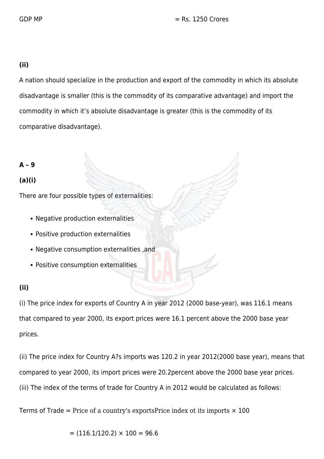GDP MP  $=$  Rs. 1250 Crores

#### **(ii)**

A nation should specialize in the production and export of the commodity in which its absolute disadvantage is smaller (this is the commodity of its comparative advantage) and import the commodity in which it's absolute disadvantage is greater (this is the commodity of its comparative disadvantage).

**A – 9**

#### **(a)(i)**

There are four possible types of externalities:

- Negative production externalities
- Positive production externalities
- Negative consumption externalities ,and
- Positive consumption externalities

#### **(ii)**

(i) The price index for exports of Country A in year 2012 (2000 base-year), was 116.1 means that compared to year 2000, its export prices were 16.1 percent above the 2000 base year prices.

(ii) The price index for Country A?s imports was 120.2 in year 2012(2000 base year), means that compared to year 2000, its import prices were 20.2percent above the 2000 base year prices. (iii) The index of the terms of trade for Country A in 2012 would be calculated as follows:

Terms of Trade = Price of a country's exportsPrice index ot its imports  $\times$  100

 $= (116.1/120.2) \times 100 = 96.6$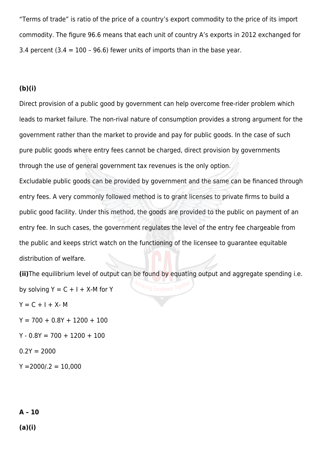"Terms of trade" is ratio of the price of a country's export commodity to the price of its import commodity. The figure 96.6 means that each unit of country A's exports in 2012 exchanged for 3.4 percent  $(3.4 = 100 - 96.6)$  fewer units of imports than in the base year.

#### **(b)(i)**

Direct provision of a public good by government can help overcome free-rider problem which leads to market failure. The non-rival nature of consumption provides a strong argument for the government rather than the market to provide and pay for public goods. In the case of such pure public goods where entry fees cannot be charged, direct provision by governments through the use of general government tax revenues is the only option. Excludable public goods can be provided by government and the same can be financed through entry fees. A very commonly followed method is to grant licenses to private firms to build a public good facility. Under this method, the goods are provided to the public on payment of an entry fee. In such cases, the government regulates the level of the entry fee chargeable from the public and keeps strict watch on the functioning of the licensee to guarantee equitable distribution of welfare.

**(ii)**The equilibrium level of output can be found by equating output and aggregate spending i.e. by solving  $Y = C + I + X$ -M for Y

 $Y = C + I + X - M$  $Y = 700 + 0.8Y + 1200 + 100$  $Y - 0.8Y = 700 + 1200 + 100$  $0.2Y = 2000$  $Y = 2000 / .2 = 10,000$ 

#### **A – 10**

**(a)(i)**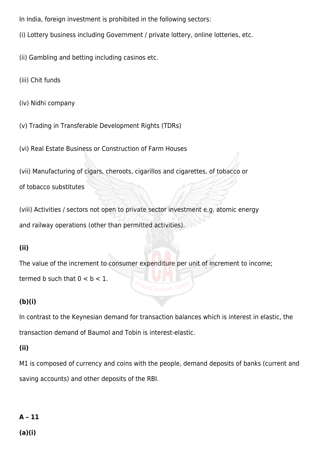- In India, foreign investment is prohibited in the following sectors:
- (i) Lottery business including Government / private lottery, online lotteries, etc.
- (ii) Gambling and betting including casinos etc.
- (iii) Chit funds
- (iv) Nidhi company
- (v) Trading in Transferable Development Rights (TDRs)
- (vi) Real Estate Business or Construction of Farm Houses
- (vii) Manufacturing of cigars, cheroots, cigarillos and cigarettes, of tobacco or

of tobacco substitutes

(viii) Activities / sectors not open to private sector investment e.g. atomic energy and railway operations (other than permitted activities).

#### **(ii)**

The value of the increment to consumer expenditure per unit of increment to income; termed b such that  $0 < b < 1$ .

#### **(b)(i)**

In contrast to the Keynesian demand for transaction balances which is interest in elastic, the transaction demand of Baumol and Tobin is interest-elastic.

#### **(ii)**

M1 is composed of currency and coins with the people, demand deposits of banks (current and saving accounts) and other deposits of the RBI.

### **A – 11**

**(a)(i)**